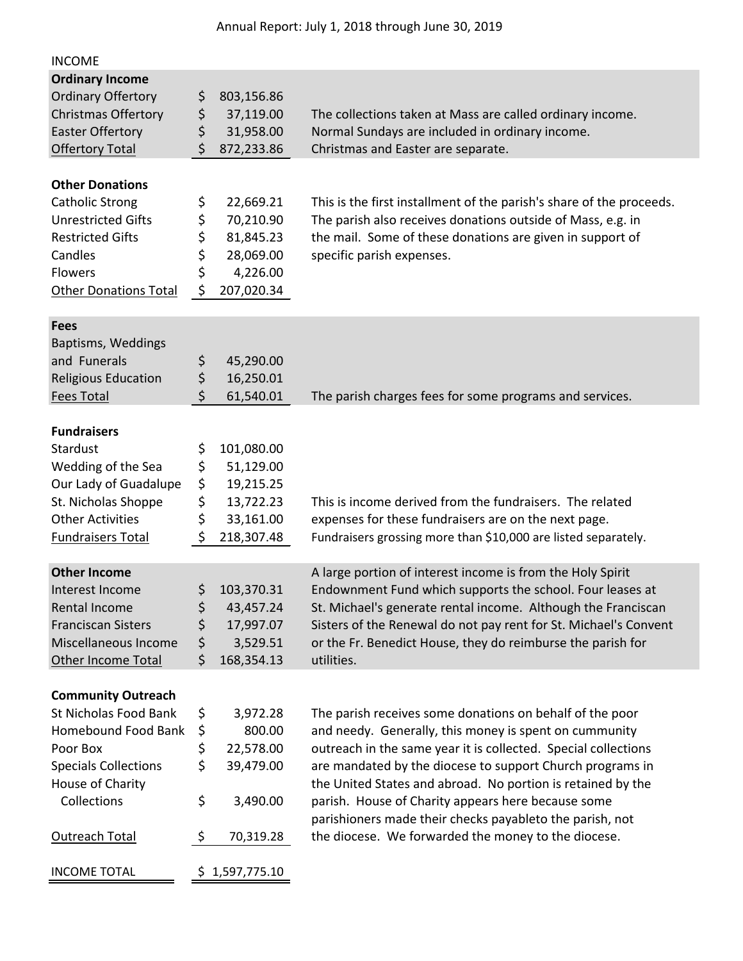| 37,119.00    | The collections taken at Mass are called ordinary income.                                                                                                                                                             |
|--------------|-----------------------------------------------------------------------------------------------------------------------------------------------------------------------------------------------------------------------|
| 31,958.00    | Normal Sundays are included in ordinary income.                                                                                                                                                                       |
| 872,233.86   | Christmas and Easter are separate.                                                                                                                                                                                    |
|              |                                                                                                                                                                                                                       |
| 22,669.21    | This is the first installment of the parish's share of the proceeds.                                                                                                                                                  |
|              | The parish also receives donations outside of Mass, e.g. in                                                                                                                                                           |
|              | the mail. Some of these donations are given in support of<br>specific parish expenses.                                                                                                                                |
|              |                                                                                                                                                                                                                       |
| 207,020.34   |                                                                                                                                                                                                                       |
|              |                                                                                                                                                                                                                       |
|              |                                                                                                                                                                                                                       |
| 45,290.00    |                                                                                                                                                                                                                       |
| 16,250.01    |                                                                                                                                                                                                                       |
|              | The parish charges fees for some programs and services.                                                                                                                                                               |
|              |                                                                                                                                                                                                                       |
| 101,080.00   |                                                                                                                                                                                                                       |
| 51,129.00    |                                                                                                                                                                                                                       |
|              |                                                                                                                                                                                                                       |
|              | This is income derived from the fundraisers. The related<br>expenses for these fundraisers are on the next page.                                                                                                      |
|              | Fundraisers grossing more than \$10,000 are listed separately.                                                                                                                                                        |
|              |                                                                                                                                                                                                                       |
|              | A large portion of interest income is from the Holy Spirit                                                                                                                                                            |
| 103,370.31   | Endownment Fund which supports the school. Four leases at                                                                                                                                                             |
|              | St. Michael's generate rental income. Although the Franciscan                                                                                                                                                         |
|              | Sisters of the Renewal do not pay rent for St. Michael's Convent<br>or the Fr. Benedict House, they do reimburse the parish for                                                                                       |
| 168,354.13   | utilities.                                                                                                                                                                                                            |
|              |                                                                                                                                                                                                                       |
|              |                                                                                                                                                                                                                       |
|              | The parish receives some donations on behalf of the poor                                                                                                                                                              |
|              | and needy. Generally, this money is spent on cummunity<br>outreach in the same year it is collected. Special collections                                                                                              |
|              | are mandated by the diocese to support Church programs in                                                                                                                                                             |
|              | the United States and abroad. No portion is retained by the                                                                                                                                                           |
| 3,490.00     | parish. House of Charity appears here because some                                                                                                                                                                    |
| 70,319.28    | parishioners made their checks payableto the parish, not<br>the diocese. We forwarded the money to the diocese.                                                                                                       |
| 1,597,775.10 |                                                                                                                                                                                                                       |
|              | 803,156.86<br>70,210.90<br>81,845.23<br>28,069.00<br>4,226.00<br>61,540.01<br>19,215.25<br>13,722.23<br>33,161.00<br>218,307.48<br>43,457.24<br>17,997.07<br>3,529.51<br>3,972.28<br>800.00<br>22,578.00<br>39,479.00 |